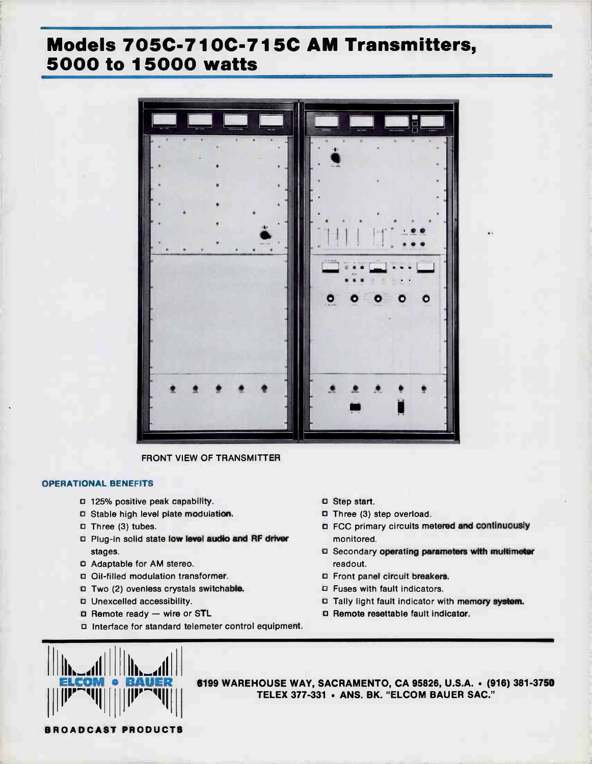# Models 705C-710C-715C AM Transmitters, 5000 to 15000 watts



FRONT VIEW OF TRANSMITTER

# OPERATIONAL BENEFITS

- D 125% positive peak capability.
- Stable high level plate modulation.
- □ Three (3) tubes.
- D Plug-in solid state low level audio and RF driver stages.
- Adaptable for AM stereo.
- 13 Oil-filled modulation transformer.
- D Two (2) ovenless crystals switchable.
- D Unexcelled accessibility.
- o Remote ready wire or STL
- c Interface for standard telemeter control equipment.
- E Step start.
- D Three (3) step overload.
- o FCC primary circuits metered and continuously monitored.
- 13 Secondary operating parameters with multimeter readout.
- E Front panel circuit breakers.
- E Fuses with fault indicators.
- □ Tally light fault indicator with memory system.
- o Remote resettable fault indicator.



6199 WAREHOUSE WAY, SACRAMENTO, CA 95826, U.S.A. • (916) 381-3750 TELEX 377-331 · ANS. BK. "ELCOM BAUER SAC."

BROADCAST PRODUCTS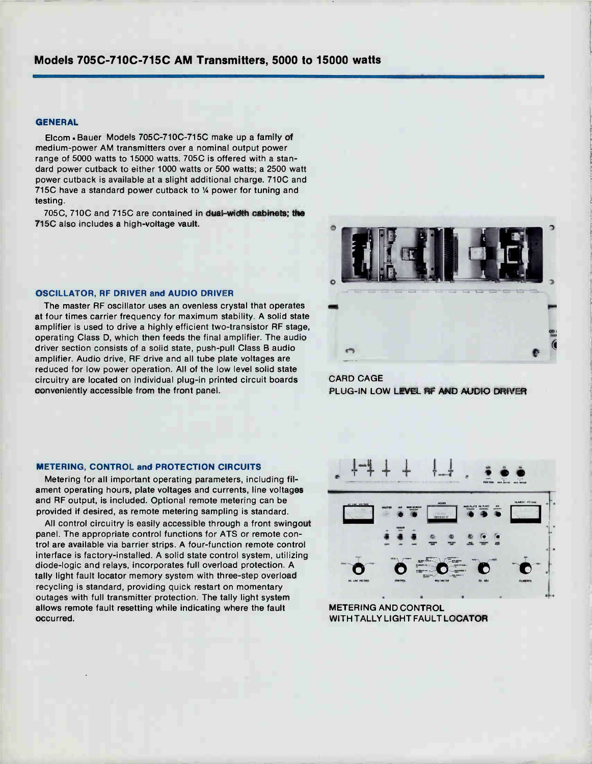# Models 705C-710C-715C AM Transmitters, 5000 to 15000 watts

#### **GENERAL**

Elcom • Bauer Models 705C-710C-715C make up a family of medium-power AM transmitters over a nominal output power range of 5000 watts to 15000 watts. 705C is offered with a standard power cutback to either 1000 watts or 500 watts; a 2500 watt power cutback is available at a slight additional charge. 710C and 715C have a standard power cutback to  $%$  power for tuning and testing.

705C, 710C and 715C are contained in dual-width cabinets; the 7150 also includes a high-voltage vault.

#### OSCILLATOR, RF DRIVER and AUDIO DRIVER

The master RF oscillator uses an ovenless crystal that operates at four times carrier frequency for maximum stability. A solid state amplifier is used to drive a highly efficient two-transistor RF stage, operating Class D, which then feeds the final amplifier. The audio driver section consists of a solid state, push-pull Class B audio amplifier. Audio drive, RF drive and all tube plate voltages are reduced for low power operation. All of the low level solid state circuitry are located on individual plug-in printed circuit boards conveniently accessible from the front panel.

CARD CAGE PLUG-IN LOW LEVEL RF AND AUDIO DRIVER

### METERING, CONTROL and PROTECTION CIRCUITS

Metering for all important operating parameters, including filament operating hours, plate voltages and currents, line voltages and RF output, is included. Optional remote metering can be provided if desired, as remote metering sampling is standard.

All control circuitry is easily accessible through a front swingout panel. The appropriate control functions for ATS or remote control are available via barrier strips. A four-function remote control interface is factory-installed. A solid state control system, utilizing diode-logic and relays, incorporates full overload protection. A tally light fault locator memory system with three-step overload recycling is standard, providing quick restart on momentary outages with full transmitter protection. The tally light system allows remote fault resetting while indicating where the fault occurred.



METERING AND CONTROL WITH TALLY LIGHT FAULT LOCATOR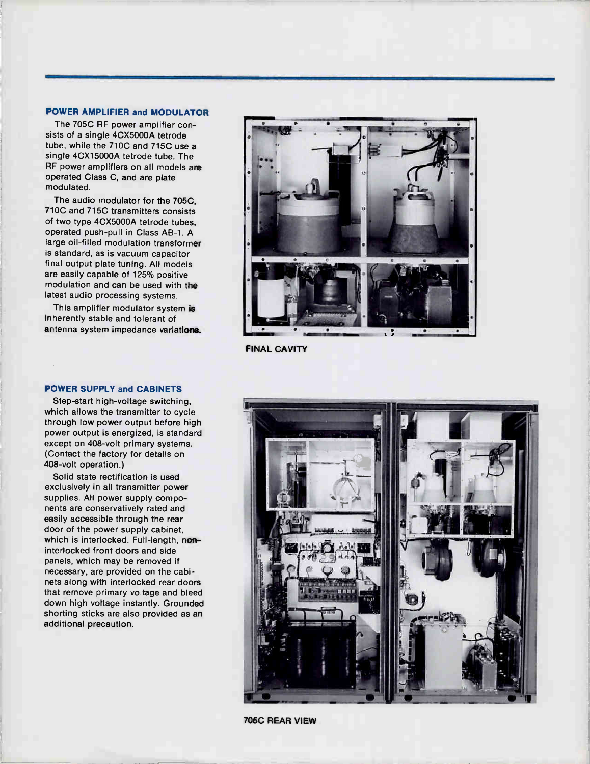#### POWER AMPLIFIER and MODULATOR

The 705C RF power amplifier consists of a single 4CX5000A tetrode tube, while the 710C and 715C use a single 4CX15000A tetrode tube. The RF power amplifiers on all models are operated Class C, and are plate modulated.

The audio modulator for the 705C, 710C and 715C transmitters consists of two type 4CX5000A tetrode tubes, operated push-pull in Class AB-1. A large oil-filled modulation transformer is standard, as is vacuum capacitor final output plate tuning. All models are easily capable of 125% positive modulation and can be used with the latest audio processing systems.

This amplifier modulator system is inherently stable and tolerant of antenna system impedance variations.

### POWER SUPPLY and CABINETS

Step-start high-voltage switching, which allows the transmitter to cycle through low power output before high power output is energized, is standard except on 408-volt primary systems. (Contact the factory for details on 408-volt operation.)

Solid state rectification is used exclusively in all transmitter power supplies. All power supply components are conservatively rated and easily accessible through the rear door of the power supply cabinet, which is interlocked. Full-length, noninterlocked front doors and side panels, which may be removed if necessary, are provided on the cabinets along with interlocked rear doors that remove primary voltage and bleed down high voltage instantly. Grounded shorting sticks are also provided as an additional precaution.



FINAL CAVITY



705C REAR VIEW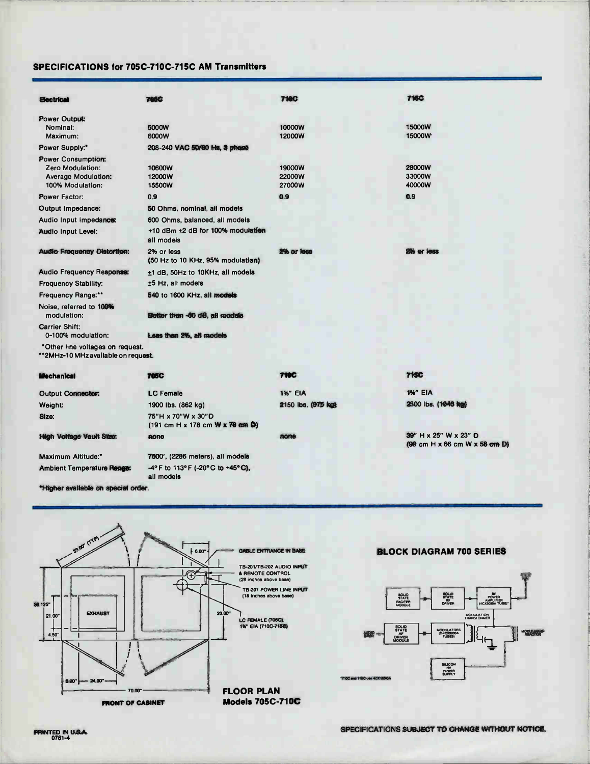# SPECIFICATIONS for 705C-710C-715C AM Transmitters

| <b>Electrical</b>                   | <b>705C</b>                                     | <b>710C</b>        | <b>715C</b>                                                                               |
|-------------------------------------|-------------------------------------------------|--------------------|-------------------------------------------------------------------------------------------|
| Power Output:                       |                                                 |                    |                                                                                           |
| Nominal:                            | 5000W                                           | 10000W             | 15000W                                                                                    |
| Maximum:                            | 6000W                                           | 12000W             | 15000W                                                                                    |
| Power Supply:"                      | 208-240 VAC 50/60 Hz, 3 pheste                  |                    |                                                                                           |
| <b>Power Consumption:</b>           |                                                 |                    |                                                                                           |
| Zero Modulation:                    | 10600W                                          | 19000W             | 28000W                                                                                    |
| <b>Average Modulation:</b>          | 12000W                                          | 22000W             | 33000W<br>40000W                                                                          |
| 100% Modulation:                    | 15500W                                          | 27000W             |                                                                                           |
| <b>Power Factor:</b>                | 0.9                                             | 0.9                | 0.9                                                                                       |
| Output Impedance:                   | 50 Ohms, nominal, all models                    |                    |                                                                                           |
| Audio Input Impedance:              | 600 Ohms, balanced, all models                  |                    |                                                                                           |
| Audio Input Level:                  | $+10$ dBm $\pm 2$ dB for 100% modulation        |                    |                                                                                           |
|                                     | all models                                      |                    |                                                                                           |
| <b>Audio Frequency Distortion:</b>  | 2% or less<br>(50 Hz to 10 KHz, 95% modulation) | 2% or less         | 2% or less                                                                                |
| <b>Audio Frequency Response:</b>    | ±1 dB, 50Hz to 10KHz, all models                |                    |                                                                                           |
| <b>Frequency Stability:</b>         | $±5$ Hz, all models                             |                    |                                                                                           |
| <b>Frequency Range:**</b>           | 540 to 1600 KHz, all models                     |                    |                                                                                           |
| Noise, referred to 100%             |                                                 |                    |                                                                                           |
| modulation:                         | Better than -80 dB, all roodels                 |                    |                                                                                           |
| <b>Carrier Shift:</b>               |                                                 |                    |                                                                                           |
| 0-100% modulation:                  | Leas then 2%, all models                        |                    |                                                                                           |
| *Other line voltages on request.    |                                                 |                    |                                                                                           |
| **2MHz-10 MHz available on request. |                                                 |                    |                                                                                           |
| <b>Mechanical</b>                   | 705C                                            | <b>710C</b>        | <b>715C</b>                                                                               |
| Output Connector:                   | <b>LC</b> Female                                | <b>1%" EIA</b>     | 1%" EIA                                                                                   |
| Weight:                             | 1900 lbs. (862 kg)                              | 2150 lbs. (975 kg) | 2300 lbs. (1046 kg)                                                                       |
| Size:                               | 75"H x 70"W x 30"D                              |                    |                                                                                           |
|                                     | (191 cm H x 178 cm W x 76 cm D)                 |                    |                                                                                           |
| <b>High Voltage Vault Stae:</b>     | none                                            | mone               | 39" H x 25" W x 23" D                                                                     |
|                                     |                                                 |                    | $(99 \text{ cm} \text{ H} \times 66 \text{ cm} \text{ W} \times 58 \text{ cm} \text{ D})$ |
| <b>Maximum Altitude:</b> *          | 7500', (2286 meters), all models                |                    |                                                                                           |
| <b>Ambient Temperature Range:</b>   | -4° F to 113° F (-20° C to +45° C).             |                    |                                                                                           |

\*Higher available on special order.



all models

# BLOCK DIAGRAM 700 SERIES

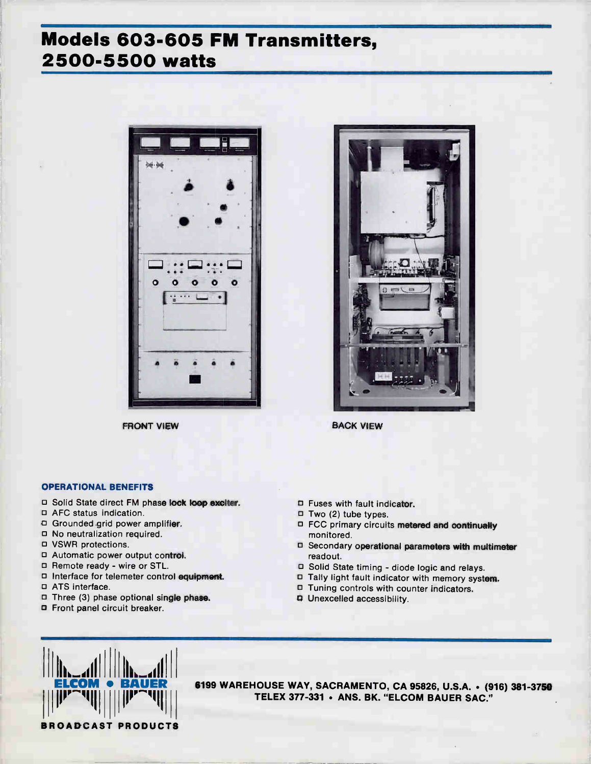# Models 603-605 FM Transmitters, 2500-5500 watts



FRONT VIEW



BACK VIEW

### OPERATIONAL BENEFITS

- □ Solid State direct FM phase lock loop exciter.
- D AFC status indication.
- DI Grounded grid power amplifier.
- No neutralization required.
- VSWR protections.
- 13 Automatic power output control.
- □ Remote ready wire or STL.
- D Interface for telemeter control equipment.
- ATS interface.
- $\Box$  Three (3) phase optional single phase.
- Front panel circuit breaker.
- Fuses with fault indicator.
- $\Box$  Two (2) tube types.
- D FCC primary circuits metered and continually monitored.
- D Secondary operational parameters with multimeter readout.
- D Solid State timing diode logic and relays.
- $\square$  Tally light fault indicator with memory system.
- Tuning controls with counter indicators.
- D Unexcelled accessibility.



6199 WAREHOUSE WAY, SACRAMENTO, CA 95826, U.S.A. • (916) 381-3750 TELEX 377-331 · ANS. BK. "ELCOM BAUER SAC."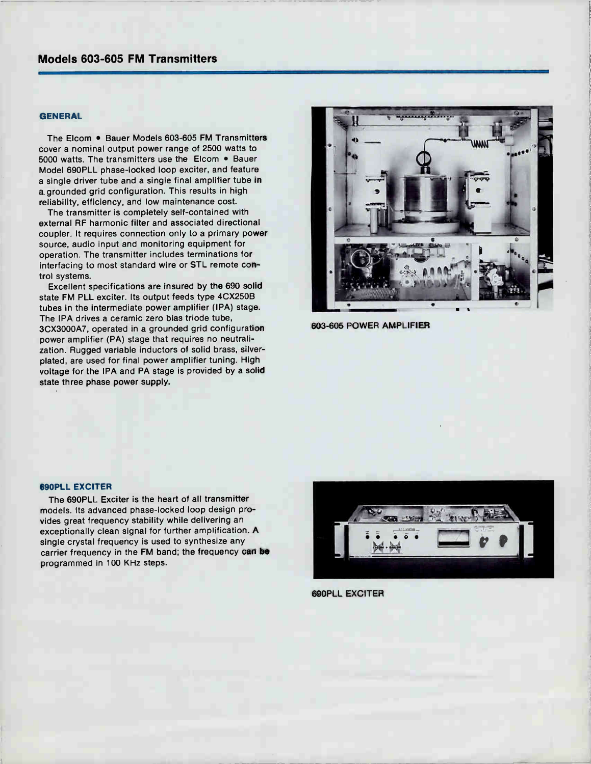# Models 603-605 FM Transmitters

# **GENERAL**

The Elcom . Bauer Models 603-605 FM Transmitters cover a nominal output power range of 2500 watts to 5000 watts. The transmitters use the Elcom • Bauer Model 690PLL phase-locked loop exciter, and feature a single driver tube and a single final amplifier tube in a. grounded grid configuration. This results in high reliability, efficiency, and low maintenance cost.

The transmitter is completely self-contained with external RF harmonic filter and associated directional coupler. It requires connection only to a primary power source, audio input and monitoring equipment for operation. The transmitter includes terminations for interfacing to most standard wire or STL remote control systems.

Excellent specifications are insured by the 690 solid state FM PLL exciter. Its output feeds type 4CX250B tubes in the intermediate power amplifier (IPA) stage. The IPA drives a ceramic zero bias triode tube, 3CX3000A7, operated in a grounded grid configuration power amplifier (PA) stage that requires no neutralization. Rugged variable inductors of solid brass, silverplated, are used for final power amplifier tuning. High voltage for the IPA and PA stage is provided by a solid state three phase power supply.



603-605 POWER AMPLIFIER

#### 690PLL EXCITER

The 690PLL Exciter is the heart of all transmitter models. Its advanced phase-locked loop design provides great frequency stability while delivering an exceptionally clean signal for further amplification. A single crystal frequency is used to synthesize any carrier frequency in the FM band; the frequency can be programmed in 100 KHz steps.



690PLL EXCITER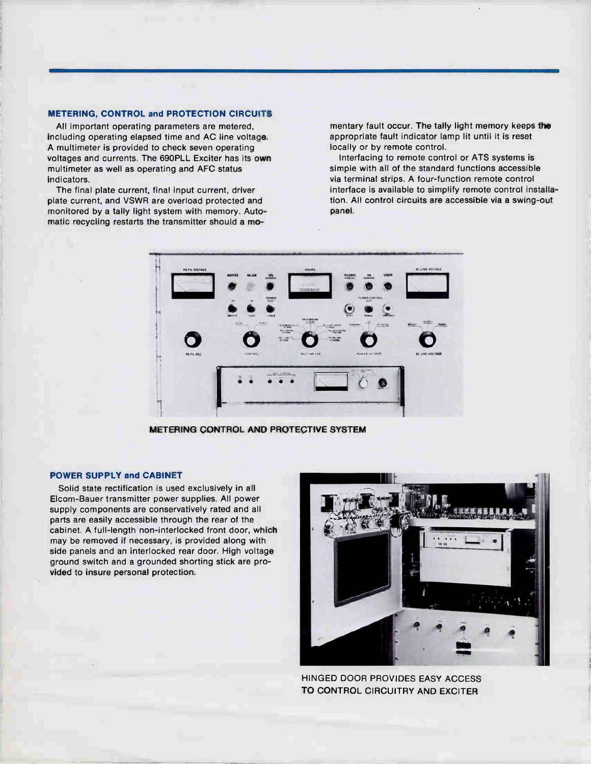#### METERING, CONTROL and PROTECTION CIRCUITS

All important operating parameters are metered, including operating elapsed time and AC line voltage. A multimeter is provided to check seven operating voltages and currents. The 690PLL Exciter has its own multimeter as well as operating and AFC status indicators.

The final plate current, final input current, driver plate current, and VSWR are overload protected and monitored by a tally light system with memory. Automatic recycling restarts the transmitter should a momentary fault occur. The tally light memory keeps the appropriate fault indicator lamp lit until it is reset locally or by remote control.

Interfacing to remote control or ATS systems is simple with all of the standard functions accessible via terminal strips. A four-function remote control interface is available to simplify remote control installation. All control circuits are accessible via a swing-out panel.



METERING CONTROL AND PROTECTIVE SYSTEM

# POWER SUPPLY and CABINET

Solid state rectification is used exclusively in all Elcom-Bauer transmitter power supplies. All power supply components are conservatively rated and all parts are easily accessible through the rear of the cabinet. A full-length non-interlocked front door, which may be removed if necessary, is provided along with side panels and an interlocked rear door. High voltage ground switch and a grounded shorting stick are provided to insure personal protection.



HINGED DOOR PROVIDES EASY ACCESS TO CONTROL CIRCUITRY AND EXCITER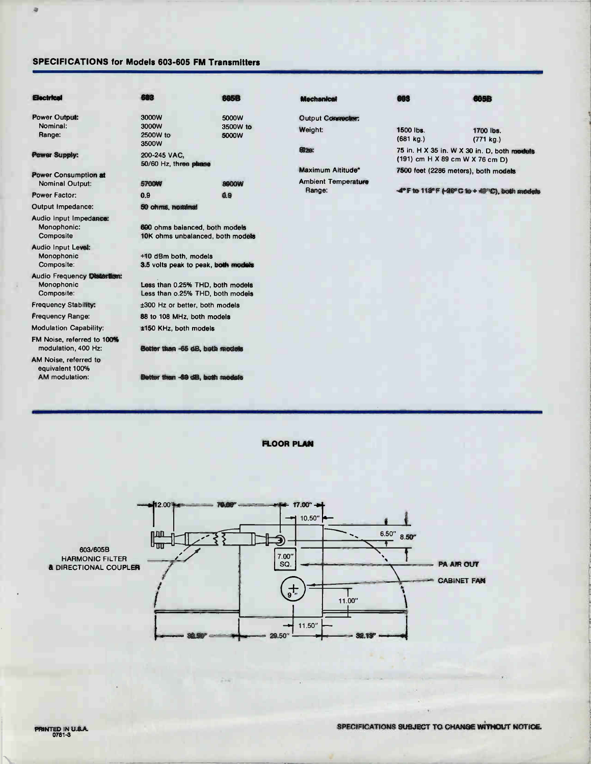# SPECIFICATIONS for Models 603-605 FM Transmitters

æ,

| <b>Electrical</b>                                                 | 683                                                                  | <b>605B</b>                         | Mechanical                                                | 683                                                                                  | 605B                   |  |
|-------------------------------------------------------------------|----------------------------------------------------------------------|-------------------------------------|-----------------------------------------------------------|--------------------------------------------------------------------------------------|------------------------|--|
| <b>Power Output:</b><br>Nominal:<br>Range:                        | 3000W<br>3000W<br>2500W to<br>3500W                                  | 5000W<br>3500W to<br>5000W          | Output Connector:<br>Weight:                              | 1500 lbs.<br>(681 kg.)                                                               | 1700 lbs.<br>(771 kg.) |  |
| <b>Power Supply:</b>                                              | 200-245 VAC.<br>50/60 Hz, three phase                                |                                     | <b>SI78:</b>                                              | 75 in. H X 35 in. W X 30 in. D, both models<br>$(191)$ cm H X 89 cm W X 76 cm D)     |                        |  |
| Power Consumption at<br>Nominal Output:<br>Power Factor:          | <b>5700W</b>                                                         | <b>8900W</b>                        | Maximum Altitude*<br><b>Ambient Temperature</b><br>Range: | 7500 feet (2286 meters), both models<br>-4°F to 118°F (-40°C to + 40°C), both models |                        |  |
| Output Impedance:                                                 | 0.9<br>0.9<br>50 ohms, nominal                                       |                                     |                                                           |                                                                                      |                        |  |
| Audio input Impedance:<br>Monophonic:<br>Composite                | 600 ohms balanced, both models                                       | 10K ohms unbalanced, both models    |                                                           |                                                                                      |                        |  |
| <b>Audio Input Level:</b><br>Monophonic<br>Composite:             | +10 dBm both, models                                                 | 3.5 volts peak to peak, both models |                                                           |                                                                                      |                        |  |
| <b>Audio Frequency Distantion:</b><br>Monophonic<br>Composite:    | Less than 0.25% THD, both models<br>Less than o.25% THD, both models |                                     |                                                           |                                                                                      |                        |  |
| <b>Frequency Stability:</b>                                       | ±300 Hz or better, both models                                       |                                     |                                                           |                                                                                      |                        |  |
| Frequency Range:                                                  | 88 to 108 MHz, both models                                           |                                     |                                                           |                                                                                      |                        |  |
| <b>Modulation Capability:</b>                                     | ±150 KHz, both models                                                |                                     |                                                           |                                                                                      |                        |  |
| FM Noise, referred to 100%<br>modulation, 400 Hz:                 | Better than -65 dB, both models                                      |                                     |                                                           |                                                                                      |                        |  |
| AM Noise, referred to<br>equivalent 100%<br><b>AM</b> modulation: | Better than -89 dB, both models                                      |                                     |                                                           |                                                                                      |                        |  |

FLOOR PLAN

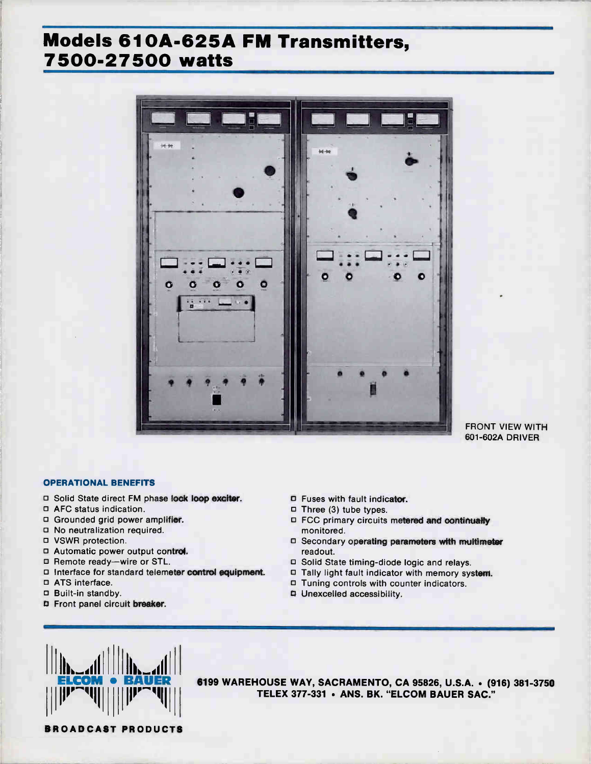# Models 610A-625A FM Transmitters, 7500-27500 watts



# FRONT VIEW WITH 601-602A DRIVER

# OPERATIONAL BENEFITS

- □ Solid State direct FM phase lock loop exciter.
- AFC status indication.
- Grounded grid power amplifier.
- No neutralization required.
- VSWR protection.
- Automatic power output control.
- □ Remote ready—wire or STL.
- □ Interface for standard telemeter control equipment.
- ATS interface.
- Built-in standby.
- Front panel circuit breaker.
- D Fuses with fault indicator.
- $\Box$  Three (3) tube types.
- FCC primary circuits metered and continually monitored.
- D Secondary operating parameters with multimeter readout.
- D Solid State timing-diode logic and relays.
- □ Tally light fault indicator with memory system.
- D Tuning controls with counter indicators.
- **Q** Unexcelled accessibility.



6199 WAREHOUSE WAY, SACRAMENTO, CA 95826, U.S.A. • (916) 381-3750 TELEX 377-331 · ANS. BK. "ELCOM BAUER SAC."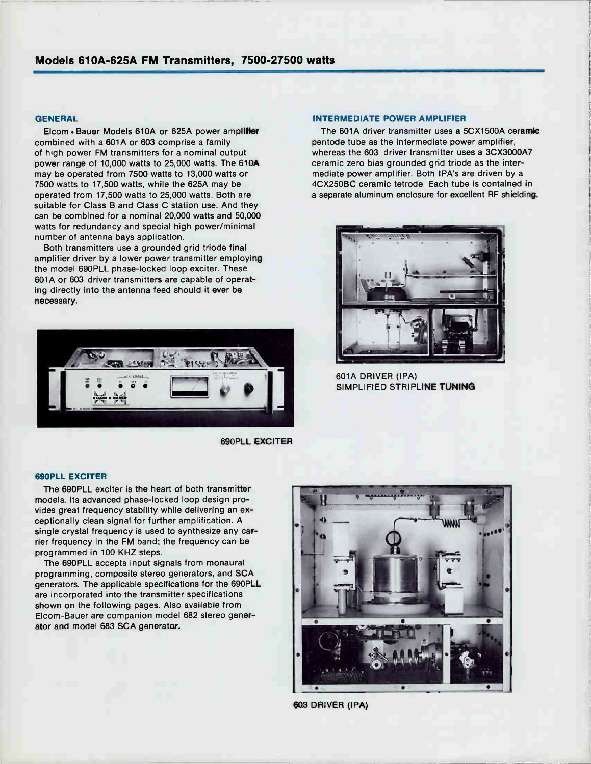#### **GENERAL**

Elcom • Bauer Models 610A or 625A power amplifier combined with a 601A or 603 comprise a family of high power FM transmitters for a nominal output power range of 10,000 watts to 25,000 watts. The 610A may be operated from 7500 watts to 13,000 watts or 7500 watts to 17,500 watts, while the 625A may be operated from 17,500 watts to 25,000 watts. Both are suitable for Class B and Class C station use. And they can be combined for a nominal 20,000 watts and 50,000 watts for redundancy and special high power/minimal number of antenna bays application.

Both transmitters use a grounded grid triode final amplifier driver by a lower power transmitter employing the model 690PLL phase-locked loop exciter. These 601A or 603 driver transmitters are capable of operating directly into the antenna feed should it ever be necessary.



690PLL EXCITER

#### INTERMEDIATE POWER AMPLIFIER

The 601A driver transmitter uses a 5CX1500A ceramic pentode tube as the intermediate power amplifier, whereas the 603 driver transmitter uses a 3CX3000A7 ceramic zero bias grounded grid triode as the intermediate power amplifier. Both IPA's are driven by a 4CX250BC ceramic tetrode. Each tube is contained in a separate aluminum enclosure for excellent RF shielding.



601A DRIVER (IPA) SIMPLIFIED STRIPLINE TUNING

#### 690PLL EXCITER

The 690PLL exciter is the heart of both transmitter models. Its advanced phase-locked loop design provides great frequency stability while delivering an exceptionally clean signal for further amplification. A single crystal frequency is used to synthesize any carrier frequency in the FM band; the frequency can be programmed in 100 KHZ steps.

The 690PLL accepts input signals from monaural programming, composite stereo generators, and SCA generators. The applicable specifications for the 690PLL are incorporated into the transmitter specifications shown on the following pages. Also available from Elcom-Bauer are companion model 682 stereo generator and model 683 SCA generator.



603 DRIVER (IPA)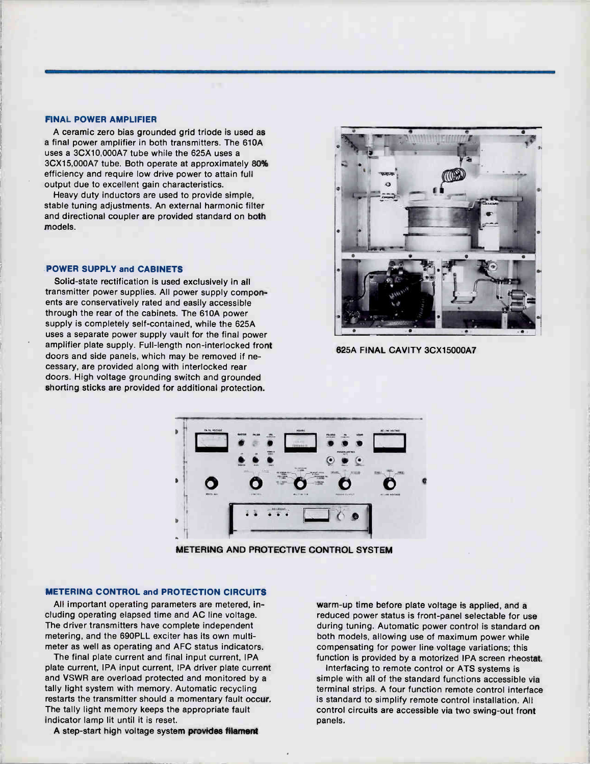#### FINAL POWER AMPLIFIER

A ceramic zero bias grounded grid triode is used as a final power amplifier in both transmitters. The 610A uses a 3CX10,000A7 tube while the 625A uses a 3CX15,000A7 tube. Both operate at approximately 80% efficiency and require low drive power to attain full output due to excellent gain characteristics.

Heavy duty inductors are used to provide simple, stable tuning adjustments. An external harmonic filter and directional coupler are provided standard on both models.

#### POWER SUPPLY and CABINETS

Solid-state rectification is used exclusively in all transmitter power supplies. All power supply components are conservatively rated and easily accessible through the rear of the cabinets. The 610A power supply is completely self-contained, while the 625A uses a separate power supply vault for the final power amplifier plate supply. Full-length non-interlocked front doors and side panels, which may be removed if necessary, are provided along with interlocked rear doors. High voltage grounding switch and grounded shorting sticks are provided for additional protection.



625A FINAL CAVITY 3CX15000A7



METERING AND PROTECTIVE CONTROL SYSTEM

## METERING CONTROL and PROTECTION CIRCUITS

All important operating parameters are metered, including operating elapsed time and AC line voltage. The driver transmitters have complete independent metering, and the 690PLL exciter has its own multimeter as well as operating and AFC status indicators.

The final plate current and final input current, IPA plate current, IPA input current, IPA driver plate current and VSWR are overload protected and monitored by a tally light system with memory. Automatic recycling restarts the transmitter should a momentary fault occur. The tally light memory keeps the appropriate fault indicator lamp lit until it is reset.

A step-start high voltage system provides filament

warm-up time before plate voltage is applied, and a reduced power status is front-panel selectable for use during tuning. Automatic power control is standard on both models, allowing use of maximum power while compensating for power line voltage variations; this function is provided by a motorized IPA screen rheostat.

Interfacing to remote control or ATS systems is simple with all of the standard functions accessible via terminal strips. A four function remote control interface is standard to simplify remote control installation. All control circuits are accessible via two swing-out front panels.